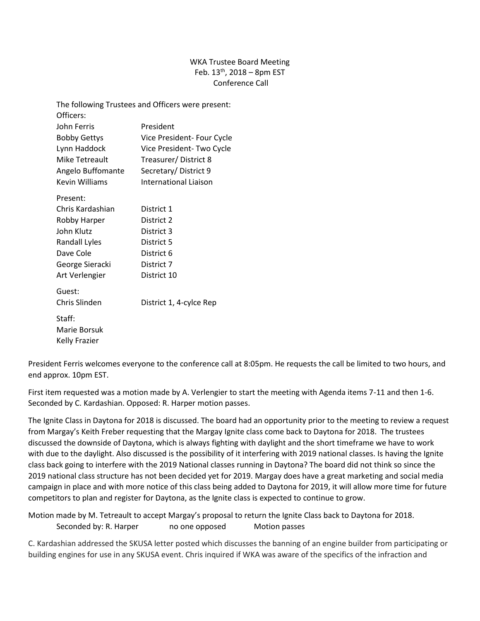## WKA Trustee Board Meeting Feb.  $13^{th}$ , 2018 – 8pm EST Conference Call

| The following Trustees and Officers were present: |                              |
|---------------------------------------------------|------------------------------|
| Officers:                                         |                              |
| John Ferris                                       | President                    |
| <b>Bobby Gettys</b>                               | Vice President- Four Cycle   |
| Lynn Haddock                                      | Vice President-Two Cycle     |
| Mike Tetreault                                    | Treasurer/District 8         |
| Angelo Buffomante                                 | Secretary/District 9         |
| <b>Kevin Williams</b>                             | <b>International Liaison</b> |
| Present:                                          |                              |
| Chris Kardashian                                  | District 1                   |
| Robby Harper                                      | District 2                   |
| John Klutz                                        | District 3                   |
| Randall Lyles                                     | District 5                   |
| Dave Cole                                         | District 6                   |
| George Sieracki                                   | District 7                   |
| Art Verlengier                                    | District 10                  |
| Guest:                                            |                              |
| Chris Slinden                                     | District 1, 4-cylce Rep      |
| Staff:                                            |                              |
| Marie Borsuk                                      |                              |
| Kelly Frazier                                     |                              |
|                                                   |                              |

President Ferris welcomes everyone to the conference call at 8:05pm. He requests the call be limited to two hours, and end approx. 10pm EST.

First item requested was a motion made by A. Verlengier to start the meeting with Agenda items 7-11 and then 1-6. Seconded by C. Kardashian. Opposed: R. Harper motion passes.

The Ignite Class in Daytona for 2018 is discussed. The board had an opportunity prior to the meeting to review a request from Margay's Keith Freber requesting that the Margay Ignite class come back to Daytona for 2018. The trustees discussed the downside of Daytona, which is always fighting with daylight and the short timeframe we have to work with due to the daylight. Also discussed is the possibility of it interfering with 2019 national classes. Is having the Ignite class back going to interfere with the 2019 National classes running in Daytona? The board did not think so since the 2019 national class structure has not been decided yet for 2019. Margay does have a great marketing and social media campaign in place and with more notice of this class being added to Daytona for 2019, it will allow more time for future competitors to plan and register for Daytona, as the Ignite class is expected to continue to grow.

Motion made by M. Tetreault to accept Margay's proposal to return the Ignite Class back to Daytona for 2018. Seconded by: R. Harper no one opposed Motion passes

C. Kardashian addressed the SKUSA letter posted which discusses the banning of an engine builder from participating or building engines for use in any SKUSA event. Chris inquired if WKA was aware of the specifics of the infraction and